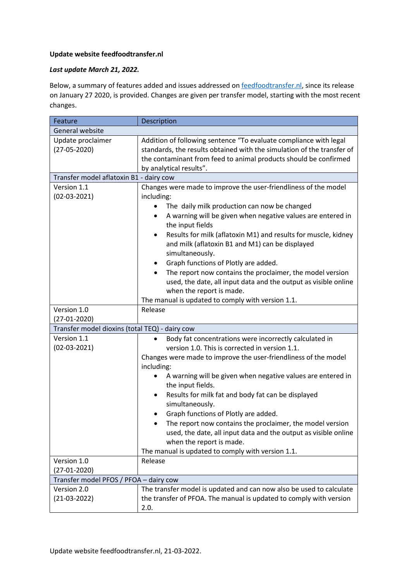## **Update website feedfoodtransfer.nl**

## *Last update March 21, 2022.*

Below, a summary of features added and issues addressed on **feedfoodtransfer.nl**, since its release on January 27 2020, is provided. Changes are given per transfer model, starting with the most recent changes.

| Feature                                        | Description                                                                                                                                                                                                                                                                                                                                                                                                                                                                                                                                                                                                          |  |
|------------------------------------------------|----------------------------------------------------------------------------------------------------------------------------------------------------------------------------------------------------------------------------------------------------------------------------------------------------------------------------------------------------------------------------------------------------------------------------------------------------------------------------------------------------------------------------------------------------------------------------------------------------------------------|--|
| General website                                |                                                                                                                                                                                                                                                                                                                                                                                                                                                                                                                                                                                                                      |  |
| Update proclaimer<br>$(27-05-2020)$            | Addition of following sentence "To evaluate compliance with legal<br>standards, the results obtained with the simulation of the transfer of<br>the contaminant from feed to animal products should be confirmed<br>by analytical results".                                                                                                                                                                                                                                                                                                                                                                           |  |
| Transfer model aflatoxin B1 - dairy cow        |                                                                                                                                                                                                                                                                                                                                                                                                                                                                                                                                                                                                                      |  |
| Version 1.1<br>$(02-03-2021)$                  | Changes were made to improve the user-friendliness of the model<br>including:<br>The daily milk production can now be changed<br>A warning will be given when negative values are entered in<br>the input fields<br>Results for milk (aflatoxin M1) and results for muscle, kidney<br>$\bullet$<br>and milk (aflatoxin B1 and M1) can be displayed<br>simultaneously.<br>Graph functions of Plotly are added.<br>٠<br>The report now contains the proclaimer, the model version<br>$\bullet$<br>used, the date, all input data and the output as visible online                                                      |  |
|                                                | when the report is made.<br>The manual is updated to comply with version 1.1.                                                                                                                                                                                                                                                                                                                                                                                                                                                                                                                                        |  |
| Version 1.0                                    | Release                                                                                                                                                                                                                                                                                                                                                                                                                                                                                                                                                                                                              |  |
| $(27-01-2020)$                                 |                                                                                                                                                                                                                                                                                                                                                                                                                                                                                                                                                                                                                      |  |
| Transfer model dioxins (total TEQ) - dairy cow |                                                                                                                                                                                                                                                                                                                                                                                                                                                                                                                                                                                                                      |  |
| Version 1.1<br>$(02-03-2021)$                  | Body fat concentrations were incorrectly calculated in<br>version 1.0. This is corrected in version 1.1.<br>Changes were made to improve the user-friendliness of the model<br>including:<br>A warning will be given when negative values are entered in<br>the input fields.<br>Results for milk fat and body fat can be displayed<br>٠<br>simultaneously.<br>Graph functions of Plotly are added.<br>The report now contains the proclaimer, the model version<br>used, the date, all input data and the output as visible online<br>when the report is made.<br>The manual is updated to comply with version 1.1. |  |
| Version 1.0                                    | Release                                                                                                                                                                                                                                                                                                                                                                                                                                                                                                                                                                                                              |  |
| $(27-01-2020)$                                 |                                                                                                                                                                                                                                                                                                                                                                                                                                                                                                                                                                                                                      |  |
| Transfer model PFOS / PFOA - dairy cow         |                                                                                                                                                                                                                                                                                                                                                                                                                                                                                                                                                                                                                      |  |
| Version 2.0<br>$(21-03-2022)$                  | The transfer model is updated and can now also be used to calculate<br>the transfer of PFOA. The manual is updated to comply with version<br>2.0.                                                                                                                                                                                                                                                                                                                                                                                                                                                                    |  |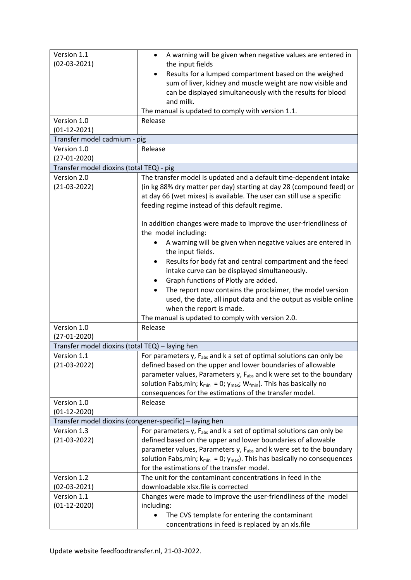| Version 1.1                                     | A warning will be given when negative values are entered in                               |  |
|-------------------------------------------------|-------------------------------------------------------------------------------------------|--|
| $(02-03-2021)$                                  | the input fields                                                                          |  |
|                                                 | Results for a lumped compartment based on the weighed                                     |  |
|                                                 | sum of liver, kidney and muscle weight are now visible and                                |  |
|                                                 | can be displayed simultaneously with the results for blood                                |  |
|                                                 | and milk.                                                                                 |  |
|                                                 | The manual is updated to comply with version 1.1.                                         |  |
| Version 1.0                                     | Release                                                                                   |  |
| $(01-12-2021)$                                  |                                                                                           |  |
| Transfer model cadmium - pig                    |                                                                                           |  |
| Version 1.0                                     | Release                                                                                   |  |
| $(27-01-2020)$                                  |                                                                                           |  |
| Transfer model dioxins (total TEQ) - pig        |                                                                                           |  |
| Version 2.0                                     | The transfer model is updated and a default time-dependent intake                         |  |
| $(21-03-2022)$                                  | (in kg 88% dry matter per day) starting at day 28 (compound feed) or                      |  |
|                                                 | at day 66 (wet mixes) is available. The user can still use a specific                     |  |
|                                                 | feeding regime instead of this default regime.                                            |  |
|                                                 |                                                                                           |  |
|                                                 | In addition changes were made to improve the user-friendliness of<br>the model including: |  |
|                                                 | A warning will be given when negative values are entered in                               |  |
|                                                 | the input fields.                                                                         |  |
|                                                 | Results for body fat and central compartment and the feed<br>٠                            |  |
|                                                 | intake curve can be displayed simultaneously.                                             |  |
|                                                 | Graph functions of Plotly are added.                                                      |  |
|                                                 | The report now contains the proclaimer, the model version<br>$\bullet$                    |  |
|                                                 | used, the date, all input data and the output as visible online                           |  |
|                                                 | when the report is made.                                                                  |  |
|                                                 | The manual is updated to comply with version 2.0.                                         |  |
| Version 1.0                                     | Release                                                                                   |  |
| $(27-01-2020)$                                  |                                                                                           |  |
| Transfer model dioxins (total TEQ) - laying hen |                                                                                           |  |
| Version 1.1                                     | For parameters y, F <sub>abs</sub> and k a set of optimal solutions can only be           |  |
| $(21-03-2022)$                                  | defined based on the upper and lower boundaries of allowable                              |  |
|                                                 | parameter values, Parameters y, F <sub>abs</sub> and k were set to the boundary           |  |
|                                                 | solution Fabs, min; $k_{min} = 0$ ; $y_{max}$ ; $W_{fmin}$ ). This has basically no       |  |
|                                                 | consequences for the estimations of the transfer model.                                   |  |
| Version 1.0                                     | Release                                                                                   |  |
| $(01-12-2020)$                                  |                                                                                           |  |
|                                                 | Transfer model dioxins (congener-specific) - laying hen                                   |  |
| Version 1.3                                     | For parameters $y$ , $F_{\text{abs}}$ and $k$ a set of optimal solutions can only be      |  |
| $(21-03-2022)$                                  | defined based on the upper and lower boundaries of allowable                              |  |
|                                                 | parameter values, Parameters y, F <sub>abs</sub> and k were set to the boundary           |  |
|                                                 | solution Fabs, min; $k_{min} = 0$ ; $y_{max}$ ). This has basically no consequences       |  |
|                                                 | for the estimations of the transfer model.                                                |  |
| Version 1.2                                     | The unit for the contaminant concentrations in feed in the                                |  |
| $(02-03-2021)$                                  | downloadable xlsx.file is corrected                                                       |  |
| Version 1.1                                     | Changes were made to improve the user-friendliness of the model                           |  |
| $(01-12-2020)$                                  | including:                                                                                |  |
|                                                 | The CVS template for entering the contaminant<br>$\bullet$                                |  |
|                                                 | concentrations in feed is replaced by an xls.file                                         |  |